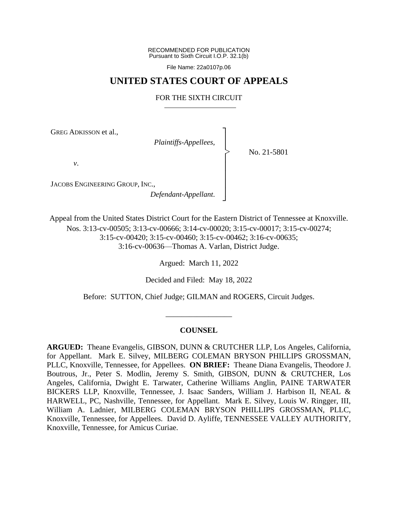RECOMMENDED FOR PUBLICATION Pursuant to Sixth Circuit I.O.P. 32.1(b)

File Name: 22a0107p.06

## **UNITED STATES COURT OF APPEALS**

#### FOR THE SIXTH CIRCUIT

┐ │ │ │ │ │ │ │ ┘

|<br>|<br>|

GREG ADKISSON et al.,

*Plaintiffs-Appellees*,

No. 21-5801

*v*.

JACOBS ENGINEERING GROUP, INC.,

*Defendant-Appellant*.

Appeal from the United States District Court for the Eastern District of Tennessee at Knoxville. Nos. 3:13-cv-00505; 3:13-cv-00666; 3:14-cv-00020; 3:15-cv-00017; 3:15-cv-00274; 3:15-cv-00420; 3:15-cv-00460; 3:15-cv-00462; 3:16-cv-00635; 3:16-cv-00636—Thomas A. Varlan, District Judge.

Argued: March 11, 2022

Decided and Filed: May 18, 2022

Before: SUTTON, Chief Judge; GILMAN and ROGERS, Circuit Judges.

\_\_\_\_\_\_\_\_\_\_\_\_\_\_\_\_\_

## **COUNSEL**

**ARGUED:** Theane Evangelis, GIBSON, DUNN & CRUTCHER LLP, Los Angeles, California, for Appellant. Mark E. Silvey, MILBERG COLEMAN BRYSON PHILLIPS GROSSMAN, PLLC, Knoxville, Tennessee, for Appellees. **ON BRIEF:** Theane Diana Evangelis, Theodore J. Boutrous, Jr., Peter S. Modlin, Jeremy S. Smith, GIBSON, DUNN & CRUTCHER, Los Angeles, California, Dwight E. Tarwater, Catherine Williams Anglin, PAINE TARWATER BICKERS LLP, Knoxville, Tennessee, J. Isaac Sanders, William J. Harbison II, NEAL & HARWELL, PC, Nashville, Tennessee, for Appellant. Mark E. Silvey, Louis W. Ringger, III, William A. Ladnier, MILBERG COLEMAN BRYSON PHILLIPS GROSSMAN, PLLC, Knoxville, Tennessee, for Appellees. David D. Ayliffe, TENNESSEE VALLEY AUTHORITY, Knoxville, Tennessee, for Amicus Curiae.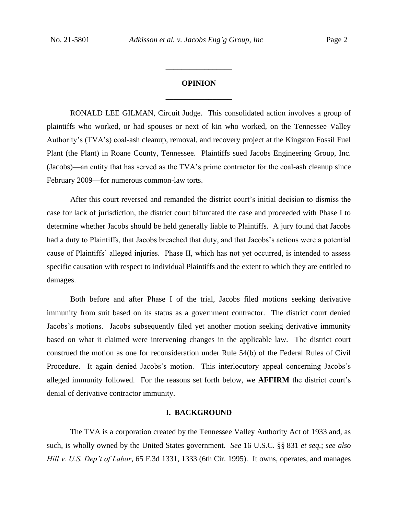# **OPINION** \_\_\_\_\_\_\_\_\_\_\_\_\_\_\_\_\_

\_\_\_\_\_\_\_\_\_\_\_\_\_\_\_\_\_

RONALD LEE GILMAN, Circuit Judge.This consolidated action involves a group of plaintiffs who worked, or had spouses or next of kin who worked, on the Tennessee Valley Authority's (TVA's) coal-ash cleanup, removal, and recovery project at the Kingston Fossil Fuel Plant (the Plant) in Roane County, Tennessee. Plaintiffs sued Jacobs Engineering Group, Inc. (Jacobs)—an entity that has served as the TVA's prime contractor for the coal-ash cleanup since February 2009—for numerous common-law torts.

After this court reversed and remanded the district court's initial decision to dismiss the case for lack of jurisdiction, the district court bifurcated the case and proceeded with Phase I to determine whether Jacobs should be held generally liable to Plaintiffs. A jury found that Jacobs had a duty to Plaintiffs, that Jacobs breached that duty, and that Jacobs's actions were a potential cause of Plaintiffs' alleged injuries. Phase II, which has not yet occurred, is intended to assess specific causation with respect to individual Plaintiffs and the extent to which they are entitled to damages.

Both before and after Phase I of the trial, Jacobs filed motions seeking derivative immunity from suit based on its status as a government contractor. The district court denied Jacobs's motions. Jacobs subsequently filed yet another motion seeking derivative immunity based on what it claimed were intervening changes in the applicable law. The district court construed the motion as one for reconsideration under Rule 54(b) of the Federal Rules of Civil Procedure. It again denied Jacobs's motion. This interlocutory appeal concerning Jacobs's alleged immunity followed.For the reasons set forth below, we **AFFIRM** the district court's denial of derivative contractor immunity.

#### **I. BACKGROUND**

The TVA is a corporation created by the Tennessee Valley Authority Act of 1933 and, as such, is wholly owned by the United States government. *See* 16 U.S.C. §§ 831 *et seq.*; *see also Hill v. U.S. Dep't of Labor*, 65 F.3d 1331, 1333 (6th Cir. 1995). It owns, operates, and manages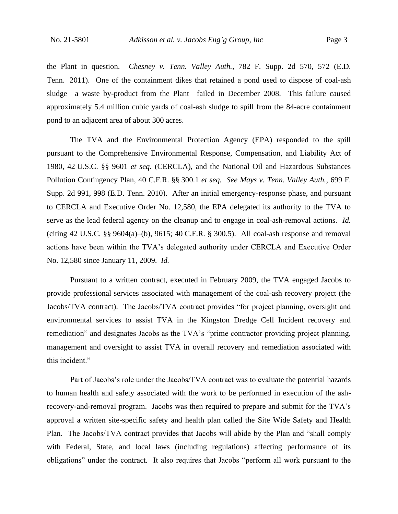the Plant in question. *Chesney v. Tenn. Valley Auth.*, 782 F. Supp. 2d 570, 572 (E.D. Tenn. 2011). One of the containment dikes that retained a pond used to dispose of coal-ash sludge—a waste by-product from the Plant—failed in December 2008. This failure caused approximately 5.4 million cubic yards of coal-ash sludge to spill from the 84-acre containment pond to an adjacent area of about 300 acres.

The TVA and the Environmental Protection Agency (EPA) responded to the spill pursuant to the Comprehensive Environmental Response, Compensation, and Liability Act of 1980, 42 U.S.C. §§ 9601 *et seq.* (CERCLA), and the National Oil and Hazardous Substances Pollution Contingency Plan, 40 C.F.R. §§ 300.1 *et seq. See Mays v. Tenn. Valley Auth.*, 699 F. Supp. 2d 991, 998 (E.D. Tenn. 2010). After an initial emergency-response phase, and pursuant to CERCLA and Executive Order No. 12,580, the EPA delegated its authority to the TVA to serve as the lead federal agency on the cleanup and to engage in coal-ash-removal actions. *Id.*  (citing 42 U.S.C. §§ 9604(a)–(b), 9615; 40 C.F.R. § 300.5). All coal-ash response and removal actions have been within the TVA's delegated authority under CERCLA and Executive Order No. 12,580 since January 11, 2009. *Id.*

Pursuant to a written contract, executed in February 2009, the TVA engaged Jacobs to provide professional services associated with management of the coal-ash recovery project (the Jacobs/TVA contract). The Jacobs/TVA contract provides "for project planning, oversight and environmental services to assist TVA in the Kingston Dredge Cell Incident recovery and remediation" and designates Jacobs as the TVA's "prime contractor providing project planning, management and oversight to assist TVA in overall recovery and remediation associated with this incident."

Part of Jacobs's role under the Jacobs/TVA contract was to evaluate the potential hazards to human health and safety associated with the work to be performed in execution of the ashrecovery-and-removal program. Jacobs was then required to prepare and submit for the TVA's approval a written site-specific safety and health plan called the Site Wide Safety and Health Plan. The Jacobs/TVA contract provides that Jacobs will abide by the Plan and "shall comply with Federal, State, and local laws (including regulations) affecting performance of its obligations" under the contract. It also requires that Jacobs "perform all work pursuant to the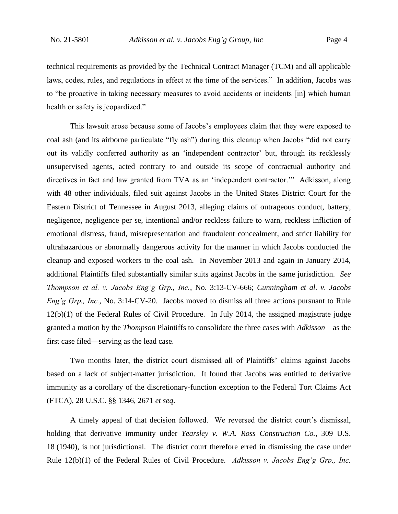technical requirements as provided by the Technical Contract Manager (TCM) and all applicable laws, codes, rules, and regulations in effect at the time of the services." In addition, Jacobs was to "be proactive in taking necessary measures to avoid accidents or incidents [in] which human health or safety is jeopardized."

This lawsuit arose because some of Jacobs's employees claim that they were exposed to coal ash (and its airborne particulate "fly ash") during this cleanup when Jacobs "did not carry out its validly conferred authority as an 'independent contractor' but, through its recklessly unsupervised agents, acted contrary to and outside its scope of contractual authority and directives in fact and law granted from TVA as an 'independent contractor.'" Adkisson, along with 48 other individuals, filed suit against Jacobs in the United States District Court for the Eastern District of Tennessee in August 2013, alleging claims of outrageous conduct, battery, negligence, negligence per se, intentional and/or reckless failure to warn, reckless infliction of emotional distress, fraud, misrepresentation and fraudulent concealment, and strict liability for ultrahazardous or abnormally dangerous activity for the manner in which Jacobs conducted the cleanup and exposed workers to the coal ash. In November 2013 and again in January 2014, additional Plaintiffs filed substantially similar suits against Jacobs in the same jurisdiction. *See Thompson et al. v. Jacobs Eng'g Grp., Inc.*, No. 3:13-CV-666; *Cunningham et al. v. Jacobs Eng'g Grp., Inc.*, No. 3:14-CV-20. Jacobs moved to dismiss all three actions pursuant to Rule 12(b)(1) of the Federal Rules of Civil Procedure. In July 2014, the assigned magistrate judge granted a motion by the *Thompson* Plaintiffs to consolidate the three cases with *Adkisson*—as the first case filed—serving as the lead case.

Two months later, the district court dismissed all of Plaintiffs' claims against Jacobs based on a lack of subject-matter jurisdiction. It found that Jacobs was entitled to derivative immunity as a corollary of the discretionary-function exception to the Federal Tort Claims Act (FTCA), 28 U.S.C. §§ 1346, 2671 *et seq*.

A timely appeal of that decision followed. We reversed the district court's dismissal, holding that derivative immunity under *Yearsley v. W.A. Ross Construction Co.*, 309 U.S. 18 (1940), is not jurisdictional. The district court therefore erred in dismissing the case under Rule 12(b)(1) of the Federal Rules of Civil Procedure. *Adkisson v. Jacobs Eng'g Grp., Inc.*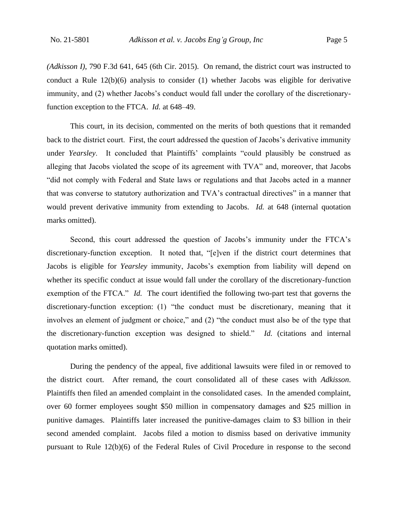*(Adkisson I)*, 790 F.3d 641, 645 (6th Cir. 2015). On remand, the district court was instructed to conduct a Rule 12(b)(6) analysis to consider (1) whether Jacobs was eligible for derivative immunity, and (2) whether Jacobs's conduct would fall under the corollary of the discretionaryfunction exception to the FTCA. *Id.* at 648–49.

This court, in its decision, commented on the merits of both questions that it remanded back to the district court. First, the court addressed the question of Jacobs's derivative immunity under *Yearsley*. It concluded that Plaintiffs' complaints "could plausibly be construed as alleging that Jacobs violated the scope of its agreement with TVA" and, moreover, that Jacobs "did not comply with Federal and State laws or regulations and that Jacobs acted in a manner that was converse to statutory authorization and TVA's contractual directives" in a manner that would prevent derivative immunity from extending to Jacobs. *Id.* at 648 (internal quotation marks omitted).

Second, this court addressed the question of Jacobs's immunity under the FTCA's discretionary-function exception. It noted that, "[e]ven if the district court determines that Jacobs is eligible for *Yearsley* immunity, Jacobs's exemption from liability will depend on whether its specific conduct at issue would fall under the corollary of the discretionary-function exemption of the FTCA." *Id.* The court identified the following two-part test that governs the discretionary-function exception: (1) "the conduct must be discretionary, meaning that it involves an element of judgment or choice," and (2) "the conduct must also be of the type that the discretionary-function exception was designed to shield." *Id.* (citations and internal quotation marks omitted).

During the pendency of the appeal, five additional lawsuits were filed in or removed to the district court. After remand, the court consolidated all of these cases with *Adkisson*. Plaintiffs then filed an amended complaint in the consolidated cases. In the amended complaint, over 60 former employees sought \$50 million in compensatory damages and \$25 million in punitive damages. Plaintiffs later increased the punitive-damages claim to \$3 billion in their second amended complaint. Jacobs filed a motion to dismiss based on derivative immunity pursuant to Rule 12(b)(6) of the Federal Rules of Civil Procedure in response to the second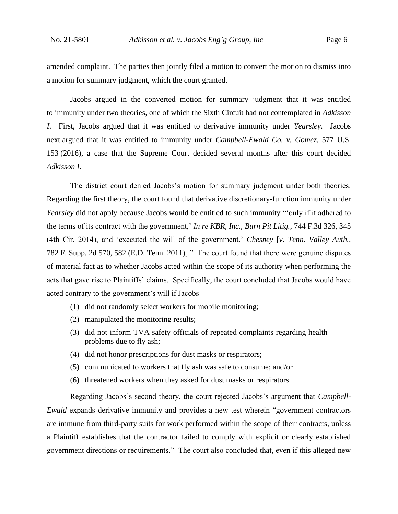amended complaint. The parties then jointly filed a motion to convert the motion to dismiss into a motion for summary judgment, which the court granted.

Jacobs argued in the converted motion for summary judgment that it was entitled to immunity under two theories, one of which the Sixth Circuit had not contemplated in *Adkisson I*. First, Jacobs argued that it was entitled to derivative immunity under *Yearsley*. Jacobs next argued that it was entitled to immunity under *Campbell-Ewald Co. v. Gomez*, 577 U.S. 153 (2016), a case that the Supreme Court decided several months after this court decided *Adkisson I*.

The district court denied Jacobs's motion for summary judgment under both theories. Regarding the first theory, the court found that derivative discretionary-function immunity under *Yearsley* did not apply because Jacobs would be entitled to such immunity "'only if it adhered to the terms of its contract with the government,' *In re KBR, Inc., Burn Pit Litig.*, 744 F.3d 326, 345 (4th Cir. 2014), and 'executed the will of the government.' *Chesney* [*v. Tenn. Valley Auth.*, 782 F. Supp. 2d 570, 582 (E.D. Tenn. 2011)]." The court found that there were genuine disputes of material fact as to whether Jacobs acted within the scope of its authority when performing the acts that gave rise to Plaintiffs' claims. Specifically, the court concluded that Jacobs would have acted contrary to the government's will if Jacobs

- (1) did not randomly select workers for mobile monitoring;
- (2) manipulated the monitoring results;
- (3) did not inform TVA safety officials of repeated complaints regarding health problems due to fly ash;
- (4) did not honor prescriptions for dust masks or respirators;
- (5) communicated to workers that fly ash was safe to consume; and/or
- (6) threatened workers when they asked for dust masks or respirators.

Regarding Jacobs's second theory, the court rejected Jacobs's argument that *Campbell-Ewald* expands derivative immunity and provides a new test wherein "government contractors are immune from third-party suits for work performed within the scope of their contracts, unless a Plaintiff establishes that the contractor failed to comply with explicit or clearly established government directions or requirements." The court also concluded that, even if this alleged new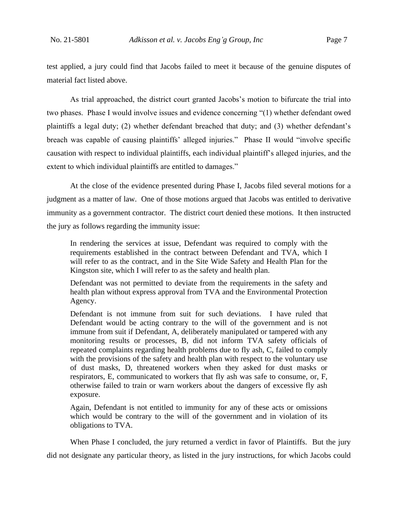test applied, a jury could find that Jacobs failed to meet it because of the genuine disputes of material fact listed above.

As trial approached, the district court granted Jacobs's motion to bifurcate the trial into two phases. Phase I would involve issues and evidence concerning "(1) whether defendant owed plaintiffs a legal duty; (2) whether defendant breached that duty; and (3) whether defendant's breach was capable of causing plaintiffs' alleged injuries." Phase II would "involve specific causation with respect to individual plaintiffs, each individual plaintiff's alleged injuries, and the extent to which individual plaintiffs are entitled to damages."

At the close of the evidence presented during Phase I, Jacobs filed several motions for a judgment as a matter of law. One of those motions argued that Jacobs was entitled to derivative immunity as a government contractor. The district court denied these motions. It then instructed the jury as follows regarding the immunity issue:

In rendering the services at issue, Defendant was required to comply with the requirements established in the contract between Defendant and TVA, which I will refer to as the contract, and in the Site Wide Safety and Health Plan for the Kingston site, which I will refer to as the safety and health plan.

Defendant was not permitted to deviate from the requirements in the safety and health plan without express approval from TVA and the Environmental Protection Agency.

Defendant is not immune from suit for such deviations. I have ruled that Defendant would be acting contrary to the will of the government and is not immune from suit if Defendant, A, deliberately manipulated or tampered with any monitoring results or processes, B, did not inform TVA safety officials of repeated complaints regarding health problems due to fly ash, C, failed to comply with the provisions of the safety and health plan with respect to the voluntary use of dust masks, D, threatened workers when they asked for dust masks or respirators, E, communicated to workers that fly ash was safe to consume, or, F, otherwise failed to train or warn workers about the dangers of excessive fly ash exposure.

Again, Defendant is not entitled to immunity for any of these acts or omissions which would be contrary to the will of the government and in violation of its obligations to TVA.

When Phase I concluded, the jury returned a verdict in favor of Plaintiffs. But the jury did not designate any particular theory, as listed in the jury instructions, for which Jacobs could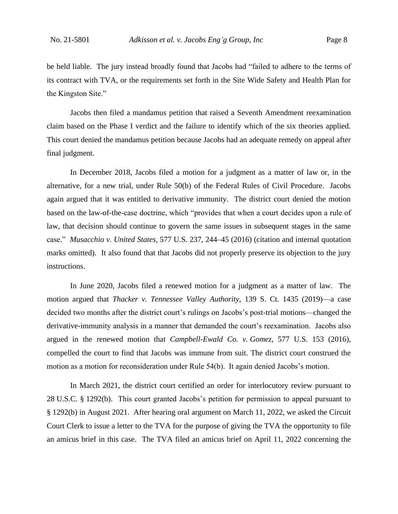be held liable. The jury instead broadly found that Jacobs had "failed to adhere to the terms of its contract with TVA, or the requirements set forth in the Site Wide Safety and Health Plan for the Kingston Site."

Jacobs then filed a mandamus petition that raised a Seventh Amendment reexamination claim based on the Phase I verdict and the failure to identify which of the six theories applied. This court denied the mandamus petition because Jacobs had an adequate remedy on appeal after final judgment.

In December 2018, Jacobs filed a motion for a judgment as a matter of law or, in the alternative, for a new trial, under Rule 50(b) of the Federal Rules of Civil Procedure. Jacobs again argued that it was entitled to derivative immunity. The district court denied the motion based on the law-of-the-case doctrine, which "provides that when a court decides upon a rule of law, that decision should continue to govern the same issues in subsequent stages in the same case." *Musacchio v. United States*, 577 U.S. 237, 244–45 (2016) (citation and internal quotation marks omitted).It also found that that Jacobs did not properly preserve its objection to the jury instructions.

In June 2020, Jacobs filed a renewed motion for a judgment as a matter of law. The motion argued that *Thacker v. Tennessee Valley Authority*, 139 S. Ct. 1435 (2019)—a case decided two months after the district court's rulings on Jacobs's post-trial motions—changed the derivative-immunity analysis in a manner that demanded the court's reexamination. Jacobs also argued in the renewed motion that *Campbell-Ewald Co. v. Gomez*, 577 U.S. 153 (2016), compelled the court to find that Jacobs was immune from suit. The district court construed the motion as a motion for reconsideration under Rule 54(b). It again denied Jacobs's motion.

In March 2021, the district court certified an order for interlocutory review pursuant to 28 U.S.C. § 1292(b). This court granted Jacobs's petition for permission to appeal pursuant to § 1292(b) in August 2021. After hearing oral argument on March 11, 2022, we asked the Circuit Court Clerk to issue a letter to the TVA for the purpose of giving the TVA the opportunity to file an amicus brief in this case.The TVA filed an amicus brief on April 11, 2022 concerning the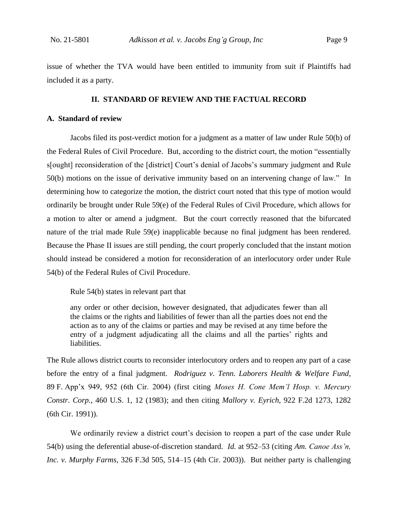issue of whether the TVA would have been entitled to immunity from suit if Plaintiffs had included it as a party.

#### **II. STANDARD OF REVIEW AND THE FACTUAL RECORD**

## **A. Standard of review**

Jacobs filed its post-verdict motion for a judgment as a matter of law under Rule 50(b) of the Federal Rules of Civil Procedure.But, according to the district court, the motion "essentially s[ought] reconsideration of the [district] Court's denial of Jacobs's summary judgment and Rule 50(b) motions on the issue of derivative immunity based on an intervening change of law."In determining how to categorize the motion, the district court noted that this type of motion would ordinarily be brought under Rule 59(e) of the Federal Rules of Civil Procedure, which allows for a motion to alter or amend a judgment. But the court correctly reasoned that the bifurcated nature of the trial made Rule 59(e) inapplicable because no final judgment has been rendered. Because the Phase II issues are still pending, the court properly concluded that the instant motion should instead be considered a motion for reconsideration of an interlocutory order under Rule 54(b) of the Federal Rules of Civil Procedure.

Rule 54(b) states in relevant part that

any order or other decision, however designated, that adjudicates fewer than all the claims or the rights and liabilities of fewer than all the parties does not end the action as to any of the claims or parties and may be revised at any time before the entry of a judgment adjudicating all the claims and all the parties' rights and liabilities.

The Rule allows district courts to reconsider interlocutory orders and to reopen any part of a case before the entry of a final judgment. *Rodriguez v. Tenn. Laborers Health & Welfare Fund*, 89 F. App'x 949, 952 (6th Cir. 2004) (first citing *Moses H. Cone Mem'l Hosp. v. Mercury Constr. Corp.*, 460 U.S. 1, 12 (1983); and then citing *Mallory v. Eyrich*, 922 F.2d 1273, 1282 (6th Cir. 1991)).

We ordinarily review a district court's decision to reopen a part of the case under Rule 54(b) using the deferential abuse-of-discretion standard. *Id.* at 952–53 (citing *Am. Canoe Ass'n, Inc. v. Murphy Farms*, 326 F.3d 505, 514–15 (4th Cir. 2003)). But neither party is challenging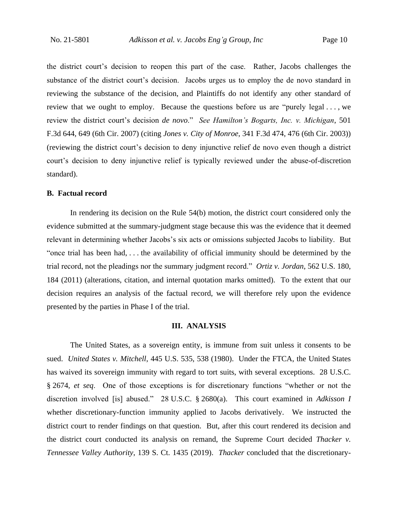the district court's decision to reopen this part of the case. Rather, Jacobs challenges the substance of the district court's decision. Jacobs urges us to employ the de novo standard in reviewing the substance of the decision, and Plaintiffs do not identify any other standard of review that we ought to employ. Because the questions before us are "purely legal . . . , we review the district court's decision *de novo*." *See Hamilton's Bogarts, Inc. v. Michigan*, 501 F.3d 644, 649 (6th Cir. 2007) (citing *Jones v. City of Monroe*, 341 F.3d 474, 476 (6th Cir. 2003)) (reviewing the district court's decision to deny injunctive relief de novo even though a district court's decision to deny injunctive relief is typically reviewed under the abuse-of-discretion standard).

#### **B. Factual record**

In rendering its decision on the Rule 54(b) motion, the district court considered only the evidence submitted at the summary-judgment stage because this was the evidence that it deemed relevant in determining whether Jacobs's six acts or omissions subjected Jacobs to liability.But "once trial has been had, . . . the availability of official immunity should be determined by the trial record, not the pleadings nor the summary judgment record." *Ortiz v. Jordan*, 562 U.S. 180, 184 (2011) (alterations, citation, and internal quotation marks omitted). To the extent that our decision requires an analysis of the factual record, we will therefore rely upon the evidence presented by the parties in Phase I of the trial.

#### **III. ANALYSIS**

The United States, as a sovereign entity, is immune from suit unless it consents to be sued. *United States v. Mitchell*, 445 U.S. 535, 538 (1980). Under the FTCA, the United States has waived its sovereign immunity with regard to tort suits, with several exceptions. 28 U.S.C. § 2674, *et seq*. One of those exceptions is for discretionary functions "whether or not the discretion involved [is] abused." 28 U.S.C. § 2680(a). This court examined in *Adkisson I* whether discretionary-function immunity applied to Jacobs derivatively. We instructed the district court to render findings on that question. But, after this court rendered its decision and the district court conducted its analysis on remand, the Supreme Court decided *Thacker v. Tennessee Valley Authority*, 139 S. Ct. 1435 (2019). *Thacker* concluded that the discretionary-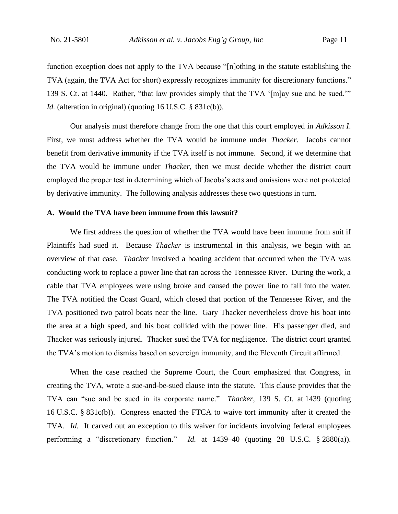function exception does not apply to the TVA because "[n]othing in the statute establishing the TVA (again, the TVA Act for short) expressly recognizes immunity for discretionary functions." 139 S. Ct. at 1440. Rather, "that law provides simply that the TVA '[m]ay sue and be sued.'" *Id.* (alteration in original) (quoting 16 U.S.C. § 831c(b)).

Our analysis must therefore change from the one that this court employed in *Adkisson I*. First, we must address whether the TVA would be immune under *Thacker*. Jacobs cannot benefit from derivative immunity if the TVA itself is not immune. Second, if we determine that the TVA would be immune under *Thacker*, then we must decide whether the district court employed the proper test in determining which of Jacobs's acts and omissions were not protected by derivative immunity. The following analysis addresses these two questions in turn.

#### **A. Would the TVA have been immune from this lawsuit?**

We first address the question of whether the TVA would have been immune from suit if Plaintiffs had sued it. Because *Thacker* is instrumental in this analysis, we begin with an overview of that case. *Thacker* involved a boating accident that occurred when the TVA was conducting work to replace a power line that ran across the Tennessee River. During the work, a cable that TVA employees were using broke and caused the power line to fall into the water. The TVA notified the Coast Guard, which closed that portion of the Tennessee River, and the TVA positioned two patrol boats near the line. Gary Thacker nevertheless drove his boat into the area at a high speed, and his boat collided with the power line. His passenger died, and Thacker was seriously injured. Thacker sued the TVA for negligence. The district court granted the TVA's motion to dismiss based on sovereign immunity, and the Eleventh Circuit affirmed.

When the case reached the Supreme Court, the Court emphasized that Congress, in creating the TVA, wrote a sue-and-be-sued clause into the statute. This clause provides that the TVA can "sue and be sued in its corporate name." *Thacker*, 139 S. Ct. at 1439 (quoting 16 U.S.C. § 831c(b)). Congress enacted the FTCA to waive tort immunity after it created the TVA. *Id.* It carved out an exception to this waiver for incidents involving federal employees performing a "discretionary function." *Id.* at 1439–40 (quoting 28 U.S.C. § 2880(a)).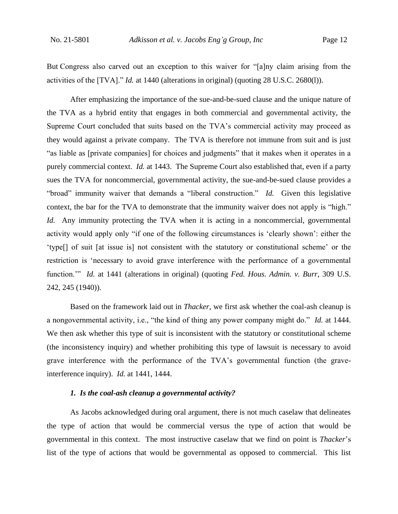But Congress also carved out an exception to this waiver for "[a]ny claim arising from the activities of the [TVA]." *Id.* at 1440 (alterations in original) (quoting 28 U.S.C. 2680(l)).

After emphasizing the importance of the sue-and-be-sued clause and the unique nature of the TVA as a hybrid entity that engages in both commercial and governmental activity, the Supreme Court concluded that suits based on the TVA's commercial activity may proceed as they would against a private company. The TVA is therefore not immune from suit and is just "as liable as [private companies] for choices and judgments" that it makes when it operates in a purely commercial context. *Id.* at 1443. The Supreme Court also established that, even if a party sues the TVA for noncommercial, governmental activity, the sue-and-be-sued clause provides a "broad" immunity waiver that demands a "liberal construction." *Id.* Given this legislative context, the bar for the TVA to demonstrate that the immunity waiver does not apply is "high." *Id.* Any immunity protecting the TVA when it is acting in a noncommercial, governmental activity would apply only "if one of the following circumstances is 'clearly shown': either the 'type[] of suit [at issue is] not consistent with the statutory or constitutional scheme' or the restriction is 'necessary to avoid grave interference with the performance of a governmental function.'" *Id.* at 1441 (alterations in original) (quoting *Fed. Hous. Admin. v. Burr*, 309 U.S. 242, 245 (1940)).

Based on the framework laid out in *Thacker*, we first ask whether the coal-ash cleanup is a nongovernmental activity, i.e., "the kind of thing any power company might do." *Id.* at 1444. We then ask whether this type of suit is inconsistent with the statutory or constitutional scheme (the inconsistency inquiry) and whether prohibiting this type of lawsuit is necessary to avoid grave interference with the performance of the TVA's governmental function (the graveinterference inquiry). *Id.* at 1441, 1444.

## *1. Is the coal-ash cleanup a governmental activity?*

As Jacobs acknowledged during oral argument, there is not much caselaw that delineates the type of action that would be commercial versus the type of action that would be governmental in this context.The most instructive caselaw that we find on point is *Thacker*'s list of the type of actions that would be governmental as opposed to commercial. This list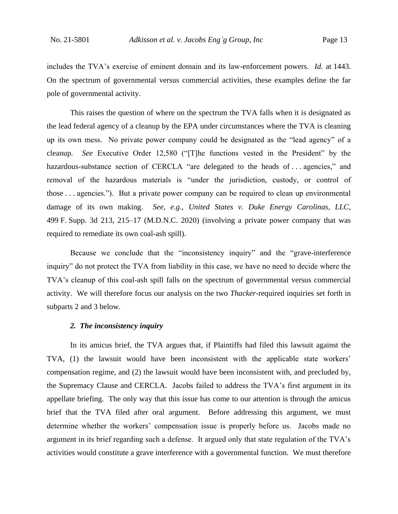includes the TVA's exercise of eminent domain and its law-enforcement powers. *Id.* at 1443. On the spectrum of governmental versus commercial activities, these examples define the far pole of governmental activity.

This raises the question of where on the spectrum the TVA falls when it is designated as the lead federal agency of a cleanup by the EPA under circumstances where the TVA is cleaning up its own mess. No private power company could be designated as the "lead agency" of a cleanup. *See* Executive Order 12,580 ("[T]he functions vested in the President" by the hazardous-substance section of CERCLA "are delegated to the heads of ... agencies," and removal of the hazardous materials is "under the jurisdiction, custody, or control of those . . . agencies."). But a private power company can be required to clean up environmental damage of its own making. *See, e.g.*, *United States v. Duke Energy Carolinas, LLC*, 499 F. Supp. 3d 213, 215–17 (M.D.N.C. 2020) (involving a private power company that was required to remediate its own coal-ash spill).

Because we conclude that the "inconsistency inquiry" and the "grave-interference inquiry" do not protect the TVA from liability in this case, we have no need to decide where the TVA's cleanup of this coal-ash spill falls on the spectrum of governmental versus commercial activity. We will therefore focus our analysis on the two *Thacker*-required inquiries set forth in subparts 2 and 3 below.

#### *2. The inconsistency inquiry*

In its amicus brief, the TVA argues that, if Plaintiffs had filed this lawsuit against the TVA, (1) the lawsuit would have been inconsistent with the applicable state workers' compensation regime, and (2) the lawsuit would have been inconsistent with, and precluded by, the Supremacy Clause and CERCLA.Jacobs failed to address the TVA's first argument in its appellate briefing. The only way that this issue has come to our attention is through the amicus brief that the TVA filed after oral argument. Before addressing this argument, we must determine whether the workers' compensation issue is properly before us. Jacobs made no argument in its brief regarding such a defense. It argued only that state regulation of the TVA's activities would constitute a grave interference with a governmental function.We must therefore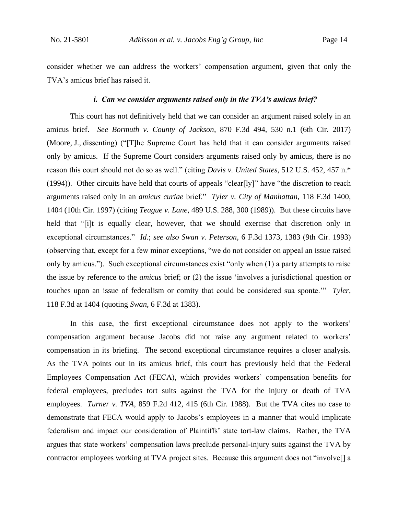consider whether we can address the workers' compensation argument, given that only the TVA's amicus brief has raised it.

#### *i. Can we consider arguments raised only in the TVA's amicus brief?*

This court has not definitively held that we can consider an argument raised solely in an amicus brief. *See Bormuth v. County of Jackson*, 870 F.3d 494, 530 n.1 (6th Cir. 2017) (Moore, J., dissenting) ("[T]he Supreme Court has held that it can consider arguments raised only by amicus. If the Supreme Court considers arguments raised only by amicus, there is no reason this court should not do so as well." (citing *Davis v. United States*, 512 U.S. 452, 457 n.\* (1994)). Other circuits have held that courts of appeals "clear[ly]" have "the discretion to reach arguments raised only in an *amicus curiae* brief." *Tyler v. City of Manhattan*, 118 F.3d 1400, 1404 (10th Cir. 1997) (citing *Teague v. Lane*, 489 U.S. 288, 300 (1989)). But these circuits have held that "[i]t is equally clear, however, that we should exercise that discretion only in exceptional circumstances." *Id.*; *see also Swan v. Peterson*, 6 F.3d 1373, 1383 (9th Cir. 1993) (observing that, except for a few minor exceptions, "we do not consider on appeal an issue raised only by amicus."). Such exceptional circumstances exist "only when (1) a party attempts to raise the issue by reference to the *amicus* brief; or (2) the issue 'involves a jurisdictional question or touches upon an issue of federalism or comity that could be considered sua sponte.'" *Tyler*, 118 F.3d at 1404 (quoting *Swan*, 6 F.3d at 1383).

In this case, the first exceptional circumstance does not apply to the workers' compensation argument because Jacobs did not raise any argument related to workers' compensation in its briefing. The second exceptional circumstance requires a closer analysis. As the TVA points out in its amicus brief, this court has previously held that the Federal Employees Compensation Act (FECA), which provides workers' compensation benefits for federal employees, precludes tort suits against the TVA for the injury or death of TVA employees. *Turner v. TVA*, 859 F.2d 412, 415 (6th Cir. 1988). But the TVA cites no case to demonstrate that FECA would apply to Jacobs's employees in a manner that would implicate federalism and impact our consideration of Plaintiffs' state tort-law claims. Rather, the TVA argues that state workers' compensation laws preclude personal-injury suits against the TVA by contractor employees working at TVA project sites. Because this argument does not "involve[] a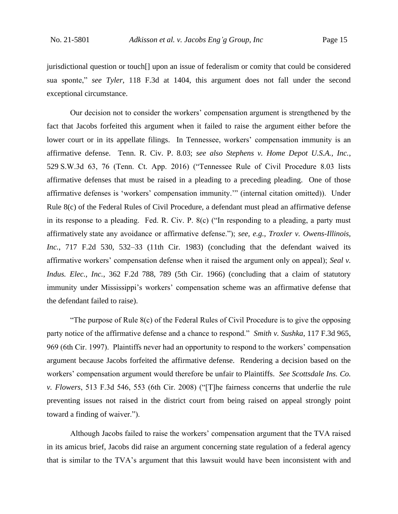jurisdictional question or touch[] upon an issue of federalism or comity that could be considered sua sponte," *see Tyler*, 118 F.3d at 1404, this argument does not fall under the second exceptional circumstance.

Our decision not to consider the workers' compensation argument is strengthened by the fact that Jacobs forfeited this argument when it failed to raise the argument either before the lower court or in its appellate filings. In Tennessee, workers' compensation immunity is an affirmative defense. Tenn. R. Civ. P. 8.03; *see also Stephens v. Home Depot U.S.A., Inc.*, 529 S.W.3d 63, 76 (Tenn. Ct. App. 2016) ("Tennessee Rule of Civil Procedure 8.03 lists affirmative defenses that must be raised in a pleading to a preceding pleading. One of those affirmative defenses is 'workers' compensation immunity.'" (internal citation omitted)). Under Rule 8(c) of the Federal Rules of Civil Procedure, a defendant must plead an affirmative defense in its response to a pleading. Fed. R. Civ. P. 8(c) ("In responding to a pleading, a party must affirmatively state any avoidance or affirmative defense."); *see, e.g.*, *Troxler v. Owens-Illinois, Inc.*, 717 F.2d 530, 532–33 (11th Cir. 1983) (concluding that the defendant waived its affirmative workers' compensation defense when it raised the argument only on appeal); *Seal v. Indus. Elec., Inc.*, 362 F.2d 788, 789 (5th Cir. 1966) (concluding that a claim of statutory immunity under Mississippi's workers' compensation scheme was an affirmative defense that the defendant failed to raise).

"The purpose of Rule 8(c) of the Federal Rules of Civil Procedure is to give the opposing party notice of the affirmative defense and a chance to respond." *Smith v. Sushka*, 117 F.3d 965, 969 (6th Cir. 1997). Plaintiffs never had an opportunity to respond to the workers' compensation argument because Jacobs forfeited the affirmative defense. Rendering a decision based on the workers' compensation argument would therefore be unfair to Plaintiffs. *See Scottsdale Ins. Co. v. Flowers*, 513 F.3d 546, 553 (6th Cir. 2008) ("[T]he fairness concerns that underlie the rule preventing issues not raised in the district court from being raised on appeal strongly point toward a finding of waiver.").

Although Jacobs failed to raise the workers' compensation argument that the TVA raised in its amicus brief, Jacobs did raise an argument concerning state regulation of a federal agency that is similar to the TVA's argument that this lawsuit would have been inconsistent with and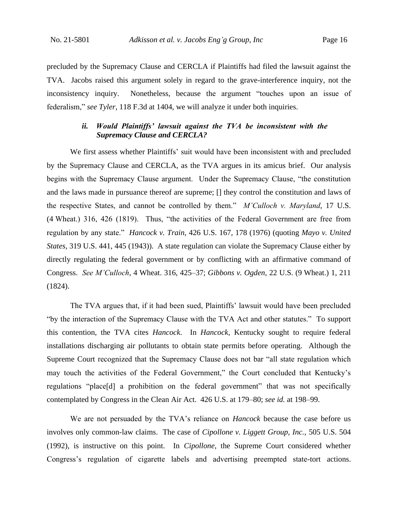precluded by the Supremacy Clause and CERCLA if Plaintiffs had filed the lawsuit against the TVA.Jacobs raised this argument solely in regard to the grave-interference inquiry, not the inconsistency inquiry. Nonetheless, because the argument "touches upon an issue of federalism," *see Tyler*, 118 F.3d at 1404, we will analyze it under both inquiries.

## *ii. Would Plaintiffs' lawsuit against the TVA be inconsistent with the Supremacy Clause and CERCLA?*

We first assess whether Plaintiffs' suit would have been inconsistent with and precluded by the Supremacy Clause and CERCLA, as the TVA argues in its amicus brief.Our analysis begins with the Supremacy Clause argument. Under the Supremacy Clause, "the constitution and the laws made in pursuance thereof are supreme; [] they control the constitution and laws of the respective States, and cannot be controlled by them." *M'Culloch v. Maryland*, 17 U.S. (4 Wheat.) 316, 426 (1819). Thus, "the activities of the Federal Government are free from regulation by any state." *Hancock v. Train*, 426 U.S. 167, 178 (1976) (quoting *Mayo v. United States*, 319 U.S. 441, 445 (1943)). A state regulation can violate the Supremacy Clause either by directly regulating the federal government or by conflicting with an affirmative command of Congress. *See M'Culloch*, 4 Wheat. 316, 425–37; *Gibbons v. Ogden*, 22 U.S. (9 Wheat.) 1, 211 (1824).

The TVA argues that, if it had been sued, Plaintiffs' lawsuit would have been precluded "by the interaction of the Supremacy Clause with the TVA Act and other statutes."To support this contention, the TVA cites *Hancock*. In *Hancock*, Kentucky sought to require federal installations discharging air pollutants to obtain state permits before operating. Although the Supreme Court recognized that the Supremacy Clause does not bar "all state regulation which may touch the activities of the Federal Government," the Court concluded that Kentucky's regulations "place[d] a prohibition on the federal government" that was not specifically contemplated by Congress in the Clean Air Act. 426 U.S. at 179–80; *see id.* at 198–99.

We are not persuaded by the TVA's reliance on *Hancock* because the case before us involves only common-law claims. The case of *Cipollone v. Liggett Group, Inc.*, 505 U.S. 504 (1992), is instructive on this point. In *Cipollone*, the Supreme Court considered whether Congress's regulation of cigarette labels and advertising preempted state-tort actions.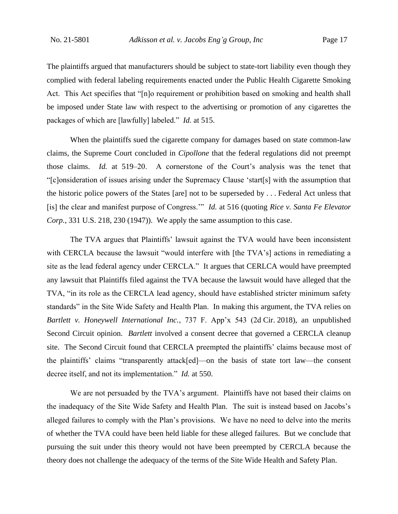The plaintiffs argued that manufacturers should be subject to state-tort liability even though they complied with federal labeling requirements enacted under the Public Health Cigarette Smoking Act. This Act specifies that "[n]o requirement or prohibition based on smoking and health shall be imposed under State law with respect to the advertising or promotion of any cigarettes the packages of which are [lawfully] labeled." *Id.* at 515.

When the plaintiffs sued the cigarette company for damages based on state common-law claims, the Supreme Court concluded in *Cipollone* that the federal regulations did not preempt those claims. *Id.* at 519–20. A cornerstone of the Court's analysis was the tenet that "[c]onsideration of issues arising under the Supremacy Clause 'start[s] with the assumption that the historic police powers of the States [are] not to be superseded by . . . Federal Act unless that [is] the clear and manifest purpose of Congress.'" *Id.* at 516 (quoting *Rice v. Santa Fe Elevator Corp.*, 331 U.S. 218, 230 (1947)). We apply the same assumption to this case.

The TVA argues that Plaintiffs' lawsuit against the TVA would have been inconsistent with CERCLA because the lawsuit "would interfere with [the TVA's] actions in remediating a site as the lead federal agency under CERCLA." It argues that CERLCA would have preempted any lawsuit that Plaintiffs filed against the TVA because the lawsuit would have alleged that the TVA, "in its role as the CERCLA lead agency, should have established stricter minimum safety standards" in the Site Wide Safety and Health Plan. In making this argument, the TVA relies on *Bartlett v. Honeywell International Inc.*, 737 F. App'x 543 (2d Cir. 2018), an unpublished Second Circuit opinion. *Bartlett* involved a consent decree that governed a CERCLA cleanup site. The Second Circuit found that CERCLA preempted the plaintiffs' claims because most of the plaintiffs' claims "transparently attack[ed]—on the basis of state tort law—the consent decree itself, and not its implementation." *Id.* at 550.

We are not persuaded by the TVA's argument. Plaintiffs have not based their claims on the inadequacy of the Site Wide Safety and Health Plan. The suit is instead based on Jacobs's alleged failures to comply with the Plan's provisions. We have no need to delve into the merits of whether the TVA could have been held liable for these alleged failures. But we conclude that pursuing the suit under this theory would not have been preempted by CERCLA because the theory does not challenge the adequacy of the terms of the Site Wide Health and Safety Plan.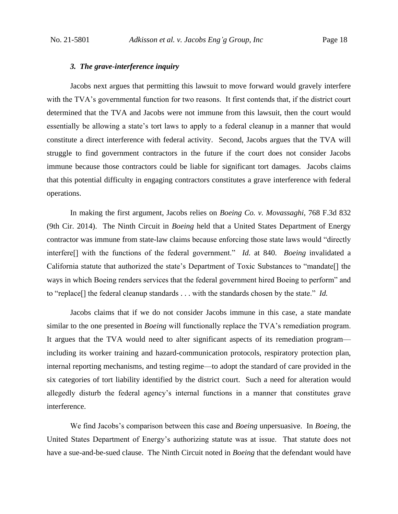#### *3. The grave-interference inquiry*

Jacobs next argues that permitting this lawsuit to move forward would gravely interfere with the TVA's governmental function for two reasons. It first contends that, if the district court determined that the TVA and Jacobs were not immune from this lawsuit, then the court would essentially be allowing a state's tort laws to apply to a federal cleanup in a manner that would constitute a direct interference with federal activity.Second, Jacobs argues that the TVA will struggle to find government contractors in the future if the court does not consider Jacobs immune because those contractors could be liable for significant tort damages.Jacobs claims that this potential difficulty in engaging contractors constitutes a grave interference with federal operations.

In making the first argument, Jacobs relies on *Boeing Co. v. Movassaghi*, 768 F.3d 832 (9th Cir. 2014). The Ninth Circuit in *Boeing* held that a United States Department of Energy contractor was immune from state-law claims because enforcing those state laws would "directly interfere[] with the functions of the federal government." *Id.* at 840. *Boeing* invalidated a California statute that authorized the state's Department of Toxic Substances to "mandate[] the ways in which Boeing renders services that the federal government hired Boeing to perform" and to "replace[] the federal cleanup standards . . . with the standards chosen by the state." *Id.*

Jacobs claims that if we do not consider Jacobs immune in this case, a state mandate similar to the one presented in *Boeing* will functionally replace the TVA's remediation program. It argues that the TVA would need to alter significant aspects of its remediation program including its worker training and hazard-communication protocols, respiratory protection plan, internal reporting mechanisms, and testing regime—to adopt the standard of care provided in the six categories of tort liability identified by the district court.Such a need for alteration would allegedly disturb the federal agency's internal functions in a manner that constitutes grave interference.

We find Jacobs's comparison between this case and *Boeing* unpersuasive. In *Boeing*, the United States Department of Energy's authorizing statute was at issue. That statute does not have a sue-and-be-sued clause. The Ninth Circuit noted in *Boeing* that the defendant would have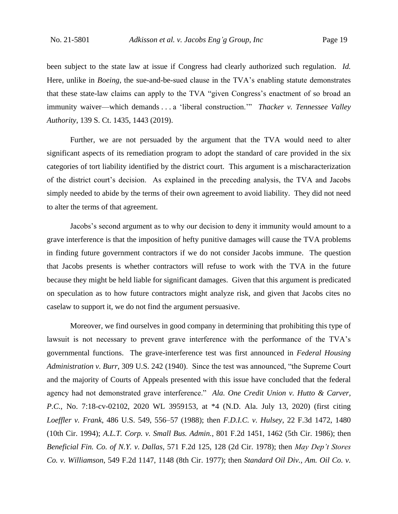been subject to the state law at issue if Congress had clearly authorized such regulation. *Id.* Here, unlike in *Boeing*, the sue-and-be-sued clause in the TVA's enabling statute demonstrates that these state-law claims can apply to the TVA "given Congress's enactment of so broad an immunity waiver—which demands . . . a 'liberal construction.'" *Thacker v. Tennessee Valley Authority*, 139 S. Ct. 1435, 1443 (2019).

Further, we are not persuaded by the argument that the TVA would need to alter significant aspects of its remediation program to adopt the standard of care provided in the six categories of tort liability identified by the district court. This argument is a mischaracterization of the district court's decision. As explained in the preceding analysis, the TVA and Jacobs simply needed to abide by the terms of their own agreement to avoid liability. They did not need to alter the terms of that agreement.

Jacobs's second argument as to why our decision to deny it immunity would amount to a grave interference is that the imposition of hefty punitive damages will cause the TVA problems in finding future government contractors if we do not consider Jacobs immune. The question that Jacobs presents is whether contractors will refuse to work with the TVA in the future because they might be held liable for significant damages. Given that this argument is predicated on speculation as to how future contractors might analyze risk, and given that Jacobs cites no caselaw to support it, we do not find the argument persuasive.

Moreover, we find ourselves in good company in determining that prohibiting this type of lawsuit is not necessary to prevent grave interference with the performance of the TVA's governmental functions. The grave-interference test was first announced in *Federal Housing Administration v. Burr*, 309 U.S. 242 (1940). Since the test was announced, "the Supreme Court and the majority of Courts of Appeals presented with this issue have concluded that the federal agency had not demonstrated grave interference." *Ala. One Credit Union v. Hutto & Carver, P.C.*, No. 7:18-cv-02102, 2020 WL 3959153, at \*4 (N.D. Ala. July 13, 2020) (first citing *Loeffler v. Frank*, 486 U.S. 549, 556–57 (1988); then *F.D.I.C. v. Hulsey*, 22 F.3d 1472, 1480 (10th Cir. 1994); *A.L.T. Corp. v. Small Bus. Admin.*, 801 F.2d 1451, 1462 (5th Cir. 1986); then *Beneficial Fin. Co. of N.Y. v. Dallas*, 571 F.2d 125, 128 (2d Cir. 1978); then *May Dep't Stores Co. v. Williamson*, 549 F.2d 1147, 1148 (8th Cir. 1977); then *Standard Oil Div., Am. Oil Co. v.*